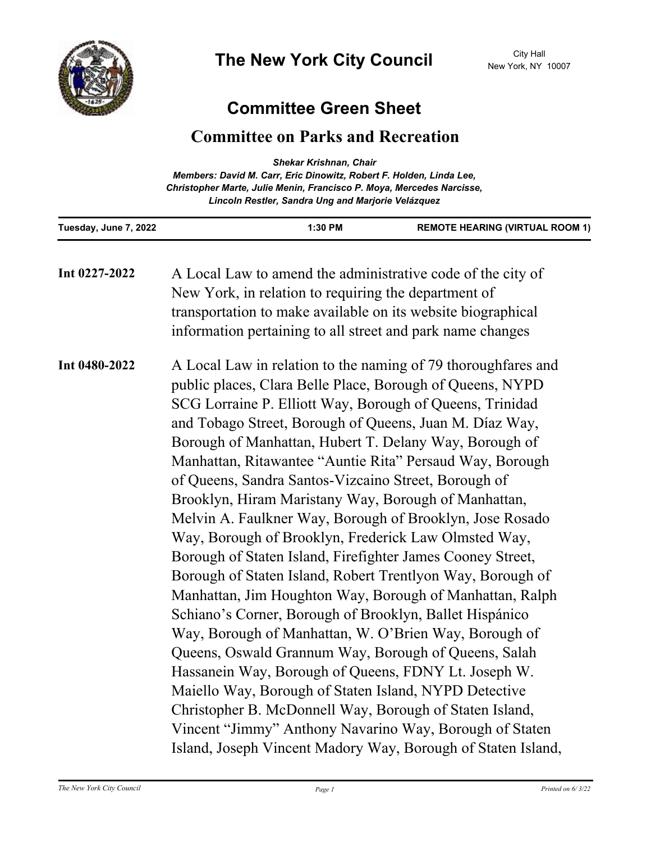

## **Committee Green Sheet**

## **Committee on Parks and Recreation**

| <b>Shekar Krishnan, Chair</b><br>Members: David M. Carr, Eric Dinowitz, Robert F. Holden, Linda Lee,<br>Christopher Marte, Julie Menin, Francisco P. Moya, Mercedes Narcisse,<br>Lincoln Restler, Sandra Ung and Marjorie Velázquez                                                                                                                                                                                                                                                                                                                                                                                                                                                                                                                                                                                                                                                                                                                                                                                                                                                                                                                                                                                    |                                                                                                                            |
|------------------------------------------------------------------------------------------------------------------------------------------------------------------------------------------------------------------------------------------------------------------------------------------------------------------------------------------------------------------------------------------------------------------------------------------------------------------------------------------------------------------------------------------------------------------------------------------------------------------------------------------------------------------------------------------------------------------------------------------------------------------------------------------------------------------------------------------------------------------------------------------------------------------------------------------------------------------------------------------------------------------------------------------------------------------------------------------------------------------------------------------------------------------------------------------------------------------------|----------------------------------------------------------------------------------------------------------------------------|
| 1:30 PM<br>Tuesday, June 7, 2022                                                                                                                                                                                                                                                                                                                                                                                                                                                                                                                                                                                                                                                                                                                                                                                                                                                                                                                                                                                                                                                                                                                                                                                       | <b>REMOTE HEARING (VIRTUAL ROOM 1)</b>                                                                                     |
| A Local Law to amend the administrative code of the city of<br>New York, in relation to requiring the department of                                                                                                                                                                                                                                                                                                                                                                                                                                                                                                                                                                                                                                                                                                                                                                                                                                                                                                                                                                                                                                                                                                    |                                                                                                                            |
| transportation to make available on its website biographical                                                                                                                                                                                                                                                                                                                                                                                                                                                                                                                                                                                                                                                                                                                                                                                                                                                                                                                                                                                                                                                                                                                                                           |                                                                                                                            |
|                                                                                                                                                                                                                                                                                                                                                                                                                                                                                                                                                                                                                                                                                                                                                                                                                                                                                                                                                                                                                                                                                                                                                                                                                        |                                                                                                                            |
| A Local Law in relation to the naming of 79 thoroughfares and<br>public places, Clara Belle Place, Borough of Queens, NYPD<br>SCG Lorraine P. Elliott Way, Borough of Queens, Trinidad<br>and Tobago Street, Borough of Queens, Juan M. Díaz Way,<br>Borough of Manhattan, Hubert T. Delany Way, Borough of<br>Manhattan, Ritawantee "Auntie Rita" Persaud Way, Borough<br>of Queens, Sandra Santos-Vizcaino Street, Borough of<br>Brooklyn, Hiram Maristany Way, Borough of Manhattan,<br>Melvin A. Faulkner Way, Borough of Brooklyn, Jose Rosado<br>Way, Borough of Brooklyn, Frederick Law Olmsted Way,<br>Borough of Staten Island, Firefighter James Cooney Street,<br>Borough of Staten Island, Robert Trentlyon Way, Borough of<br>Manhattan, Jim Houghton Way, Borough of Manhattan, Ralph<br>Schiano's Corner, Borough of Brooklyn, Ballet Hispánico<br>Way, Borough of Manhattan, W. O'Brien Way, Borough of<br>Queens, Oswald Grannum Way, Borough of Queens, Salah<br>Hassanein Way, Borough of Queens, FDNY Lt. Joseph W.<br>Maiello Way, Borough of Staten Island, NYPD Detective<br>Christopher B. McDonnell Way, Borough of Staten Island,<br>Vincent "Jimmy" Anthony Navarino Way, Borough of Staten |                                                                                                                            |
|                                                                                                                                                                                                                                                                                                                                                                                                                                                                                                                                                                                                                                                                                                                                                                                                                                                                                                                                                                                                                                                                                                                                                                                                                        | information pertaining to all street and park name changes<br>Island, Joseph Vincent Madory Way, Borough of Staten Island, |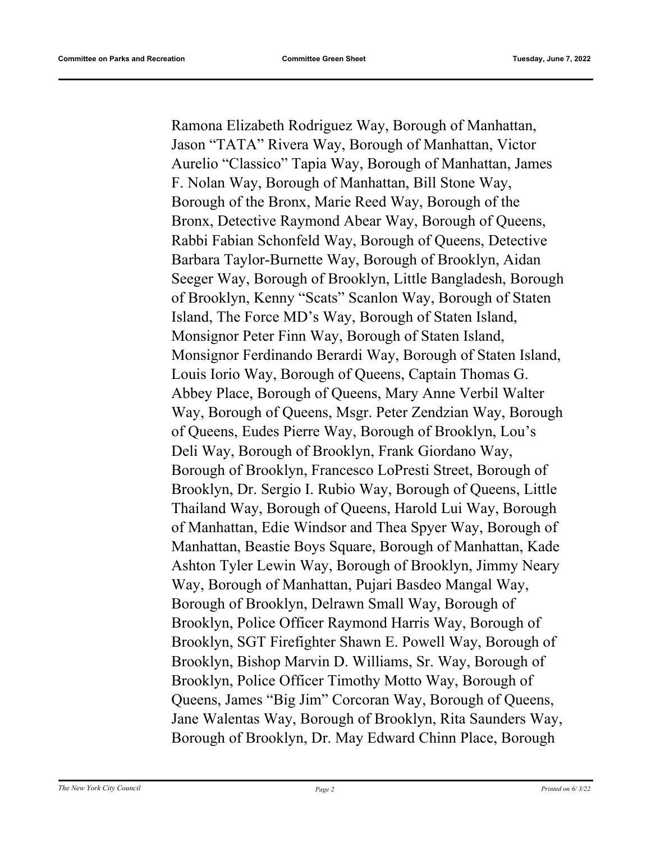Ramona Elizabeth Rodriguez Way, Borough of Manhattan, Jason "TATA" Rivera Way, Borough of Manhattan, Victor Aurelio "Classico" Tapia Way, Borough of Manhattan, James F. Nolan Way, Borough of Manhattan, Bill Stone Way, Borough of the Bronx, Marie Reed Way, Borough of the Bronx, Detective Raymond Abear Way, Borough of Queens, Rabbi Fabian Schonfeld Way, Borough of Queens, Detective Barbara Taylor-Burnette Way, Borough of Brooklyn, Aidan Seeger Way, Borough of Brooklyn, Little Bangladesh, Borough of Brooklyn, Kenny "Scats" Scanlon Way, Borough of Staten Island, The Force MD's Way, Borough of Staten Island, Monsignor Peter Finn Way, Borough of Staten Island, Monsignor Ferdinando Berardi Way, Borough of Staten Island, Louis Iorio Way, Borough of Queens, Captain Thomas G. Abbey Place, Borough of Queens, Mary Anne Verbil Walter Way, Borough of Queens, Msgr. Peter Zendzian Way, Borough of Queens, Eudes Pierre Way, Borough of Brooklyn, Lou's Deli Way, Borough of Brooklyn, Frank Giordano Way, Borough of Brooklyn, Francesco LoPresti Street, Borough of Brooklyn, Dr. Sergio I. Rubio Way, Borough of Queens, Little Thailand Way, Borough of Queens, Harold Lui Way, Borough of Manhattan, Edie Windsor and Thea Spyer Way, Borough of Manhattan, Beastie Boys Square, Borough of Manhattan, Kade Ashton Tyler Lewin Way, Borough of Brooklyn, Jimmy Neary Way, Borough of Manhattan, Pujari Basdeo Mangal Way, Borough of Brooklyn, Delrawn Small Way, Borough of Brooklyn, Police Officer Raymond Harris Way, Borough of Brooklyn, SGT Firefighter Shawn E. Powell Way, Borough of Brooklyn, Bishop Marvin D. Williams, Sr. Way, Borough of Brooklyn, Police Officer Timothy Motto Way, Borough of Queens, James "Big Jim" Corcoran Way, Borough of Queens, Jane Walentas Way, Borough of Brooklyn, Rita Saunders Way, Borough of Brooklyn, Dr. May Edward Chinn Place, Borough